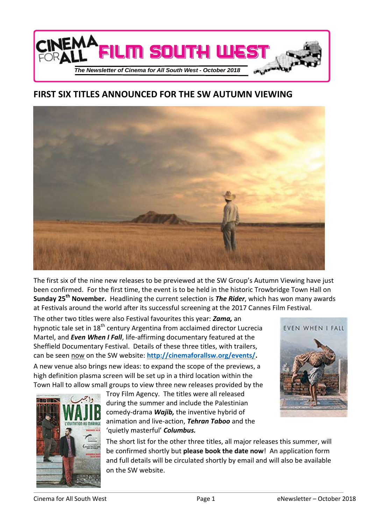

# **FIRST SIX TITLES ANNOUNCED FOR THE SW AUTUMN VIEWING**



The first six of the nine new releases to be previewed at the SW Group's Autumn Viewing have just been confirmed. For the first time, the event is to be held in the historic Trowbridge Town Hall on **Sunday 25th November.** Headlining the current selection is *The Rider*, which has won many awards at Festivals around the world after its successful screening at the 2017 Cannes Film Festival.

The other two titles were also Festival favourites this year: *Zama,* an hypnotic tale set in  $18<sup>th</sup>$  century Argentina from acclaimed director Lucrecia Martel, and *Even When I Fall*, life-affirming documentary featured at the Sheffield Documentary Festival. Details of these three titles, with trailers, can be seen now on the SW website: **[http://cinemaforallsw.org/events/.](http://cinemaforallsw.org/events/)**

A new venue also brings new ideas: to expand the scope of the previews, a high definition plasma screen will be set up in a third location within the Town Hall to allow small groups to view three new releases provided by the



Troy Film Agency. The titles were all released during the summer and include the Palestinian comedy-drama *Wajib,* the inventive hybrid of animation and live-action, *Tehran Taboo* and the 'quietly masterful' *Columbus.*



The short list for the other three titles, all major releases this summer, will be confirmed shortly but **please book the date now**! An application form and full details will be circulated shortly by email and will also be available on the SW website.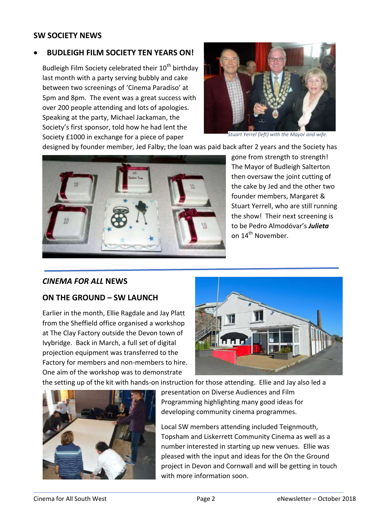# **SW SOCIETY NEWS**

# **BUDLEIGH FILM SOCIETY TEN YEARS ON!**

Budleigh Film Society celebrated their 10<sup>th</sup> birthday last month with a party serving bubbly and cake between two screenings of 'Cinema Paradiso' at 5pm and 8pm. The event was a great success with over 200 people attending and lots of apologies. Speaking at the party, Michael Jackaman, the Society's first sponsor, told how he had lent the Society £1000 in exchange for a piece of paper



*Stuart Yerrel (left) with the Mayor and wife.*

designed by founder member, Jed Falby; the loan was paid back after 2 years and the Society has



gone from strength to strength! The Mayor of Budleigh Salterton then oversaw the joint cutting of the cake by Jed and the other two founder members, Margaret & Stuart Yerrell, who are still running the show! Their next screening is to be Pedro Almodóvar's *Julieta* on 14<sup>th</sup> November.

### *CINEMA FOR ALL* **NEWS**

### **ON THE GROUND – SW LAUNCH**

Earlier in the month, Ellie Ragdale and Jay Platt from the Sheffield office organised a workshop at The Clay Factory outside the Devon town of Ivybridge. Back in March, a full set of digital projection equipment was transferred to the Factory for members and non-members to hire. One aim of the workshop was to demonstrate



the setting up of the kit with hands-on instruction for those attending. Ellie and Jay also led a



presentation on Diverse Audiences and Film Programming highlighting many good ideas for developing community cinema programmes.

Local SW members attending included Teignmouth, Topsham and Liskerrett Community Cinema as well as a number interested in starting up new venues. Ellie was pleased with the input and ideas for the On the Ground project in Devon and Cornwall and will be getting in touch with more information soon.